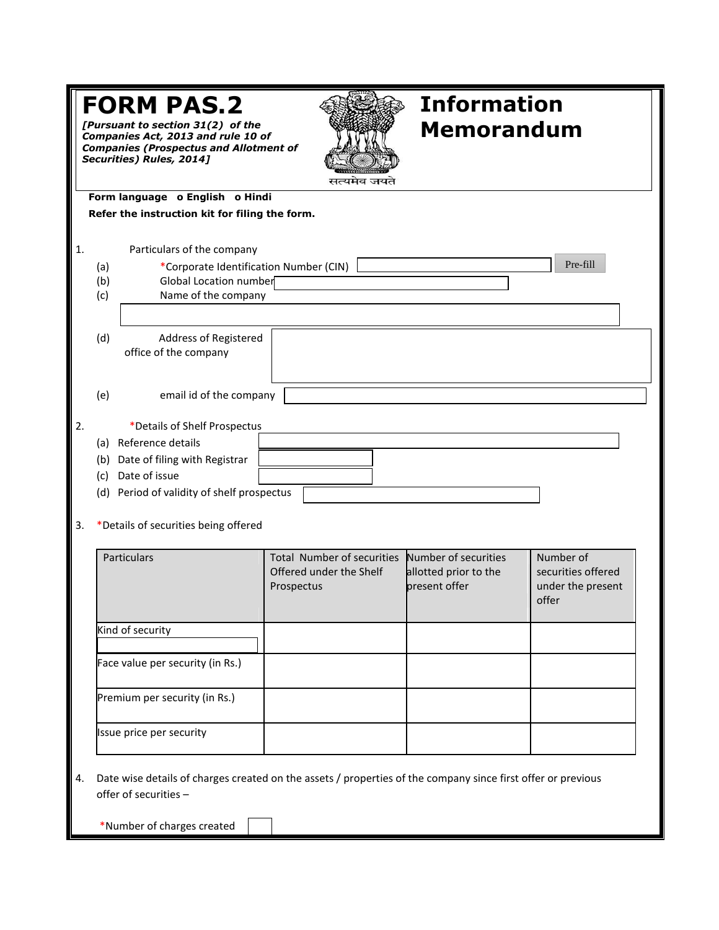| <b>Information</b><br><b>FORM PAS.2</b><br>[Pursuant to section 31(2) of the<br><b>Memorandum</b><br>Companies Act, 2013 and rule 10 of<br><b>Companies (Prospectus and Allotment of</b><br>Securities) Rules, 2014]<br>सत्यमेव जयते |                                                                                                                                                                                                       |                                       |                                                                                           |                                                               |  |  |  |
|--------------------------------------------------------------------------------------------------------------------------------------------------------------------------------------------------------------------------------------|-------------------------------------------------------------------------------------------------------------------------------------------------------------------------------------------------------|---------------------------------------|-------------------------------------------------------------------------------------------|---------------------------------------------------------------|--|--|--|
| Form language o English o Hindi<br>Refer the instruction kit for filing the form.                                                                                                                                                    |                                                                                                                                                                                                       |                                       |                                                                                           |                                                               |  |  |  |
| 1.                                                                                                                                                                                                                                   | Particulars of the company<br>*Corporate Identification Number (CIN)<br>(a)<br><b>Global Location number</b><br>(b)<br>Name of the company<br>(c)                                                     |                                       |                                                                                           | Pre-fill                                                      |  |  |  |
|                                                                                                                                                                                                                                      | (d)<br>Address of Registered<br>office of the company                                                                                                                                                 |                                       |                                                                                           |                                                               |  |  |  |
|                                                                                                                                                                                                                                      | email id of the company<br>(e)                                                                                                                                                                        |                                       |                                                                                           |                                                               |  |  |  |
| 2.<br>3.                                                                                                                                                                                                                             | *Details of Shelf Prospectus<br>(a) Reference details<br>(b) Date of filing with Registrar<br>(c) Date of issue<br>(d) Period of validity of shelf prospectus<br>*Details of securities being offered |                                       |                                                                                           |                                                               |  |  |  |
|                                                                                                                                                                                                                                      | Particulars                                                                                                                                                                                           | Offered under the Shelf<br>Prospectus | Total Number of securities Number of securities<br>allotted prior to the<br>present offer | Number of<br>securities offered<br>under the present<br>offer |  |  |  |
|                                                                                                                                                                                                                                      | Kind of security                                                                                                                                                                                      |                                       |                                                                                           |                                                               |  |  |  |
|                                                                                                                                                                                                                                      | Face value per security (in Rs.)                                                                                                                                                                      |                                       |                                                                                           |                                                               |  |  |  |
|                                                                                                                                                                                                                                      | Premium per security (in Rs.)                                                                                                                                                                         |                                       |                                                                                           |                                                               |  |  |  |
|                                                                                                                                                                                                                                      | Issue price per security                                                                                                                                                                              |                                       |                                                                                           |                                                               |  |  |  |
| 4.                                                                                                                                                                                                                                   | Date wise details of charges created on the assets / properties of the company since first offer or previous<br>offer of securities -<br>*Number of charges created                                   |                                       |                                                                                           |                                                               |  |  |  |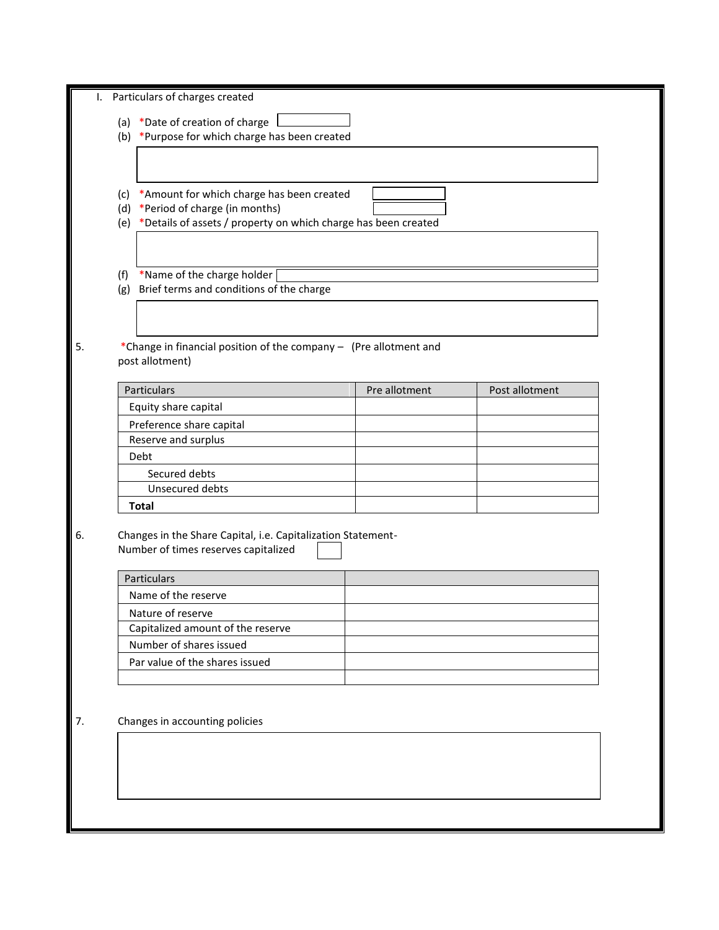|                                                                                          | Particulars of charges created                                    |               |                |  |  |
|------------------------------------------------------------------------------------------|-------------------------------------------------------------------|---------------|----------------|--|--|
|                                                                                          | (a) *Date of creation of charge                                   |               |                |  |  |
| (b) *Purpose for which charge has been created                                           |                                                                   |               |                |  |  |
|                                                                                          |                                                                   |               |                |  |  |
|                                                                                          |                                                                   |               |                |  |  |
|                                                                                          |                                                                   |               |                |  |  |
| *Amount for which charge has been created<br>(c)<br>*Period of charge (in months)<br>(d) |                                                                   |               |                |  |  |
| (e) *Details of assets / property on which charge has been created                       |                                                                   |               |                |  |  |
|                                                                                          |                                                                   |               |                |  |  |
|                                                                                          |                                                                   |               |                |  |  |
| *Name of the charge holder<br>(f)                                                        |                                                                   |               |                |  |  |
| (g)                                                                                      | Brief terms and conditions of the charge                          |               |                |  |  |
|                                                                                          |                                                                   |               |                |  |  |
|                                                                                          |                                                                   |               |                |  |  |
|                                                                                          | *Change in financial position of the company - (Pre allotment and |               |                |  |  |
|                                                                                          | post allotment)                                                   |               |                |  |  |
|                                                                                          |                                                                   |               |                |  |  |
|                                                                                          | Particulars                                                       | Pre allotment | Post allotment |  |  |
|                                                                                          | Equity share capital                                              |               |                |  |  |
|                                                                                          | Preference share capital                                          |               |                |  |  |
|                                                                                          | Reserve and surplus                                               |               |                |  |  |
|                                                                                          | Debt                                                              |               |                |  |  |
|                                                                                          | Secured debts                                                     |               |                |  |  |
|                                                                                          | Unsecured debts                                                   |               |                |  |  |
|                                                                                          |                                                                   |               |                |  |  |
|                                                                                          | <b>Total</b>                                                      |               |                |  |  |
|                                                                                          |                                                                   |               |                |  |  |
|                                                                                          | Changes in the Share Capital, i.e. Capitalization Statement-      |               |                |  |  |
|                                                                                          | Number of times reserves capitalized                              |               |                |  |  |
|                                                                                          | Particulars                                                       |               |                |  |  |
|                                                                                          | Name of the reserve                                               |               |                |  |  |
|                                                                                          | Nature of reserve                                                 |               |                |  |  |
|                                                                                          | Capitalized amount of the reserve                                 |               |                |  |  |
|                                                                                          | Number of shares issued                                           |               |                |  |  |
|                                                                                          | Par value of the shares issued                                    |               |                |  |  |
|                                                                                          |                                                                   |               |                |  |  |
|                                                                                          |                                                                   |               |                |  |  |
|                                                                                          |                                                                   |               |                |  |  |
|                                                                                          | Changes in accounting policies                                    |               |                |  |  |
|                                                                                          |                                                                   |               |                |  |  |
|                                                                                          |                                                                   |               |                |  |  |
|                                                                                          |                                                                   |               |                |  |  |
|                                                                                          |                                                                   |               |                |  |  |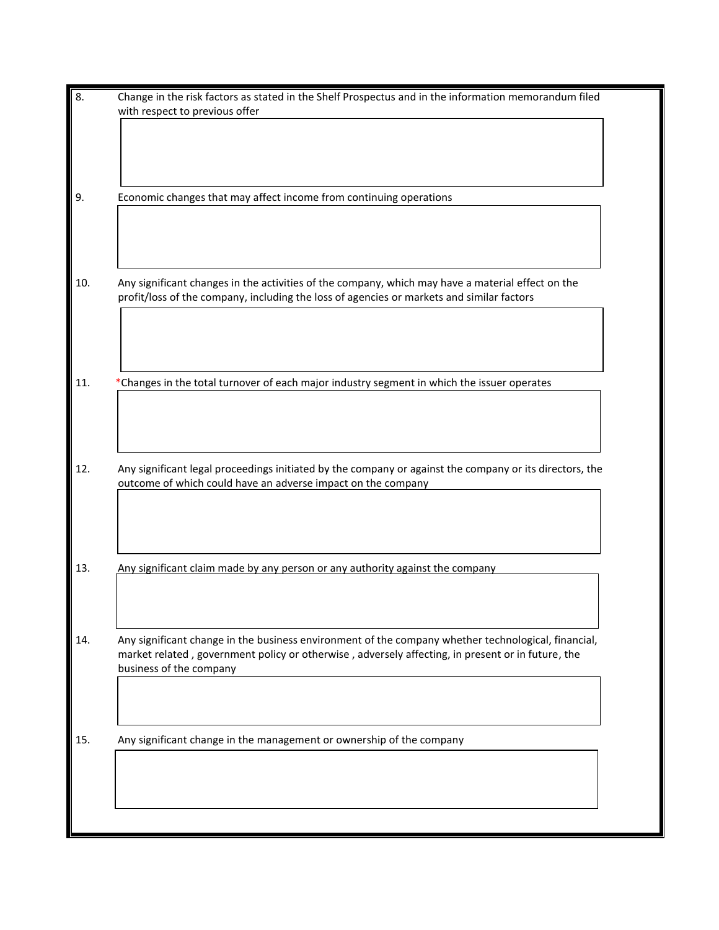| with respect to previous offer |                                                                                                                                                                                                          |  |  |
|--------------------------------|----------------------------------------------------------------------------------------------------------------------------------------------------------------------------------------------------------|--|--|
|                                |                                                                                                                                                                                                          |  |  |
|                                |                                                                                                                                                                                                          |  |  |
|                                |                                                                                                                                                                                                          |  |  |
|                                | Economic changes that may affect income from continuing operations                                                                                                                                       |  |  |
|                                |                                                                                                                                                                                                          |  |  |
|                                |                                                                                                                                                                                                          |  |  |
|                                |                                                                                                                                                                                                          |  |  |
|                                |                                                                                                                                                                                                          |  |  |
|                                | Any significant changes in the activities of the company, which may have a material effect on the<br>profit/loss of the company, including the loss of agencies or markets and similar factors           |  |  |
|                                |                                                                                                                                                                                                          |  |  |
|                                |                                                                                                                                                                                                          |  |  |
|                                |                                                                                                                                                                                                          |  |  |
|                                |                                                                                                                                                                                                          |  |  |
|                                | *Changes in the total turnover of each major industry segment in which the issuer operates                                                                                                               |  |  |
|                                |                                                                                                                                                                                                          |  |  |
|                                |                                                                                                                                                                                                          |  |  |
|                                |                                                                                                                                                                                                          |  |  |
|                                |                                                                                                                                                                                                          |  |  |
|                                |                                                                                                                                                                                                          |  |  |
|                                | Any significant legal proceedings initiated by the company or against the company or its directors, the<br>outcome of which could have an adverse impact on the company                                  |  |  |
|                                |                                                                                                                                                                                                          |  |  |
|                                |                                                                                                                                                                                                          |  |  |
|                                |                                                                                                                                                                                                          |  |  |
|                                |                                                                                                                                                                                                          |  |  |
|                                | Any significant claim made by any person or any authority against the company                                                                                                                            |  |  |
|                                |                                                                                                                                                                                                          |  |  |
|                                |                                                                                                                                                                                                          |  |  |
|                                |                                                                                                                                                                                                          |  |  |
|                                | Any significant change in the business environment of the company whether technological, financial,<br>market related, government policy or otherwise, adversely affecting, in present or in future, the |  |  |
|                                | business of the company                                                                                                                                                                                  |  |  |
|                                |                                                                                                                                                                                                          |  |  |
|                                |                                                                                                                                                                                                          |  |  |
|                                |                                                                                                                                                                                                          |  |  |
|                                | Any significant change in the management or ownership of the company                                                                                                                                     |  |  |
|                                |                                                                                                                                                                                                          |  |  |
|                                |                                                                                                                                                                                                          |  |  |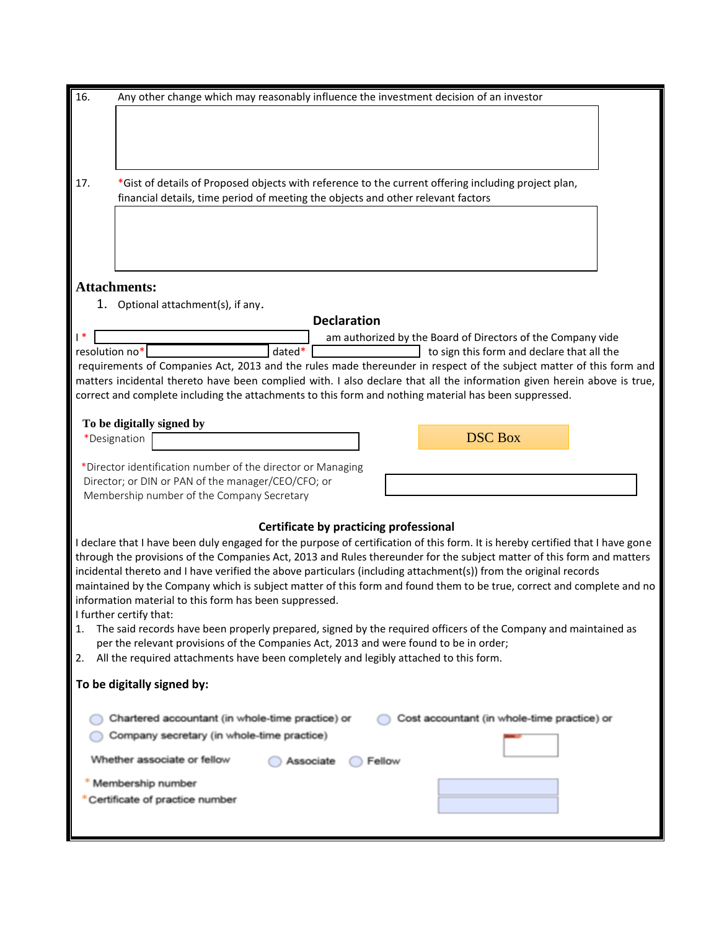| 16.            | Any other change which may reasonably influence the investment decision of an investor                                                                                                                                                         |  |  |  |  |  |
|----------------|------------------------------------------------------------------------------------------------------------------------------------------------------------------------------------------------------------------------------------------------|--|--|--|--|--|
|                |                                                                                                                                                                                                                                                |  |  |  |  |  |
|                |                                                                                                                                                                                                                                                |  |  |  |  |  |
|                |                                                                                                                                                                                                                                                |  |  |  |  |  |
|                |                                                                                                                                                                                                                                                |  |  |  |  |  |
| 17.            | *Gist of details of Proposed objects with reference to the current offering including project plan,                                                                                                                                            |  |  |  |  |  |
|                | financial details, time period of meeting the objects and other relevant factors                                                                                                                                                               |  |  |  |  |  |
|                |                                                                                                                                                                                                                                                |  |  |  |  |  |
|                |                                                                                                                                                                                                                                                |  |  |  |  |  |
|                |                                                                                                                                                                                                                                                |  |  |  |  |  |
|                | <b>Attachments:</b>                                                                                                                                                                                                                            |  |  |  |  |  |
|                | 1. Optional attachment(s), if any.                                                                                                                                                                                                             |  |  |  |  |  |
|                | <b>Declaration</b>                                                                                                                                                                                                                             |  |  |  |  |  |
|                | am authorized by the Board of Directors of the Company vide                                                                                                                                                                                    |  |  |  |  |  |
| resolution no* | dated*<br>to sign this form and declare that all the                                                                                                                                                                                           |  |  |  |  |  |
|                | requirements of Companies Act, 2013 and the rules made thereunder in respect of the subject matter of this form and<br>matters incidental thereto have been complied with. I also declare that all the information given herein above is true, |  |  |  |  |  |
|                | correct and complete including the attachments to this form and nothing material has been suppressed.                                                                                                                                          |  |  |  |  |  |
|                |                                                                                                                                                                                                                                                |  |  |  |  |  |
|                | To be digitally signed by<br><b>DSC Box</b>                                                                                                                                                                                                    |  |  |  |  |  |
| *Designation   |                                                                                                                                                                                                                                                |  |  |  |  |  |
|                | *Director identification number of the director or Managing                                                                                                                                                                                    |  |  |  |  |  |
|                | Director; or DIN or PAN of the manager/CEO/CFO; or                                                                                                                                                                                             |  |  |  |  |  |
|                | Membership number of the Company Secretary                                                                                                                                                                                                     |  |  |  |  |  |
|                | Certificate by practicing professional                                                                                                                                                                                                         |  |  |  |  |  |
|                | I declare that I have been duly engaged for the purpose of certification of this form. It is hereby certified that I have gone                                                                                                                 |  |  |  |  |  |
|                | through the provisions of the Companies Act, 2013 and Rules thereunder for the subject matter of this form and matters                                                                                                                         |  |  |  |  |  |
|                | incidental thereto and I have verified the above particulars (including attachment(s)) from the original records<br>maintained by the Company which is subject matter of this form and found them to be true, correct and complete and no      |  |  |  |  |  |
|                | information material to this form has been suppressed.                                                                                                                                                                                         |  |  |  |  |  |
|                | I further certify that:                                                                                                                                                                                                                        |  |  |  |  |  |
| 1.             | The said records have been properly prepared, signed by the required officers of the Company and maintained as                                                                                                                                 |  |  |  |  |  |
|                | per the relevant provisions of the Companies Act, 2013 and were found to be in order;                                                                                                                                                          |  |  |  |  |  |
| 2.             | All the required attachments have been completely and legibly attached to this form.                                                                                                                                                           |  |  |  |  |  |
|                | To be digitally signed by:                                                                                                                                                                                                                     |  |  |  |  |  |
|                |                                                                                                                                                                                                                                                |  |  |  |  |  |
|                | Chartered accountant (in whole-time practice) or<br>Cost accountant (in whole-time practice) or                                                                                                                                                |  |  |  |  |  |
|                | Company secretary (in whole-time practice)                                                                                                                                                                                                     |  |  |  |  |  |
|                | Whether associate or fellow<br>Associate<br>Fellow                                                                                                                                                                                             |  |  |  |  |  |
|                | Membership number                                                                                                                                                                                                                              |  |  |  |  |  |
|                | *Certificate of practice number                                                                                                                                                                                                                |  |  |  |  |  |
|                |                                                                                                                                                                                                                                                |  |  |  |  |  |
|                |                                                                                                                                                                                                                                                |  |  |  |  |  |